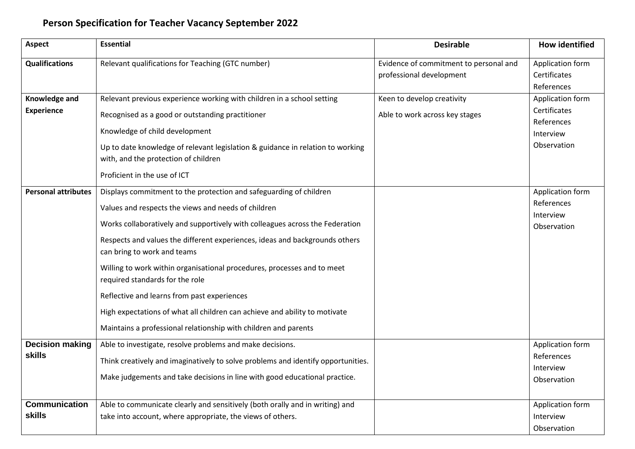## **Person Specification for Teacher Vacancy September 2022**

| <b>Aspect</b>                           | <b>Essential</b>                                                                                                                                                                                                                                                                                                                                                                                                                                                                                                                                                                                                                                                      | <b>Desirable</b>                                                   | <b>How identified</b>                                                      |
|-----------------------------------------|-----------------------------------------------------------------------------------------------------------------------------------------------------------------------------------------------------------------------------------------------------------------------------------------------------------------------------------------------------------------------------------------------------------------------------------------------------------------------------------------------------------------------------------------------------------------------------------------------------------------------------------------------------------------------|--------------------------------------------------------------------|----------------------------------------------------------------------------|
| <b>Qualifications</b>                   | Relevant qualifications for Teaching (GTC number)                                                                                                                                                                                                                                                                                                                                                                                                                                                                                                                                                                                                                     | Evidence of commitment to personal and<br>professional development | Application form<br>Certificates<br>References                             |
| Knowledge and<br><b>Experience</b>      | Relevant previous experience working with children in a school setting<br>Recognised as a good or outstanding practitioner<br>Knowledge of child development<br>Up to date knowledge of relevant legislation & guidance in relation to working<br>with, and the protection of children                                                                                                                                                                                                                                                                                                                                                                                | Keen to develop creativity<br>Able to work across key stages       | Application form<br>Certificates<br>References<br>Interview<br>Observation |
| <b>Personal attributes</b>              | Proficient in the use of ICT<br>Displays commitment to the protection and safeguarding of children<br>Values and respects the views and needs of children<br>Works collaboratively and supportively with colleagues across the Federation<br>Respects and values the different experiences, ideas and backgrounds others<br>can bring to work and teams<br>Willing to work within organisational procedures, processes and to meet<br>required standards for the role<br>Reflective and learns from past experiences<br>High expectations of what all children can achieve and ability to motivate<br>Maintains a professional relationship with children and parents |                                                                    | Application form<br>References<br>Interview<br>Observation                 |
| <b>Decision making</b><br><b>skills</b> | Able to investigate, resolve problems and make decisions.<br>Think creatively and imaginatively to solve problems and identify opportunities.<br>Make judgements and take decisions in line with good educational practice.                                                                                                                                                                                                                                                                                                                                                                                                                                           |                                                                    | Application form<br>References<br>Interview<br>Observation                 |
| <b>Communication</b><br><b>skills</b>   | Able to communicate clearly and sensitively (both orally and in writing) and<br>take into account, where appropriate, the views of others.                                                                                                                                                                                                                                                                                                                                                                                                                                                                                                                            |                                                                    | Application form<br>Interview<br>Observation                               |